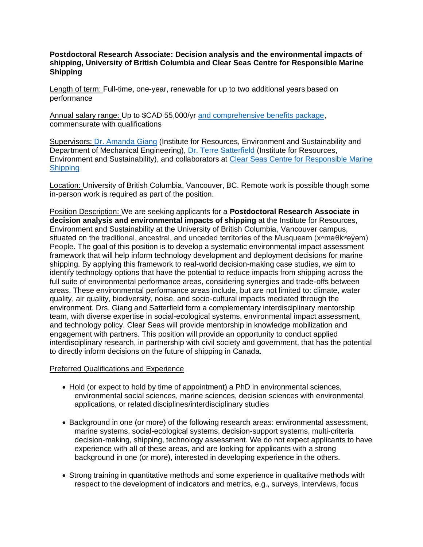## **Postdoctoral Research Associate: Decision analysis and the environmental impacts of shipping, University of British Columbia and Clear Seas Centre for Responsible Marine Shipping**

Length of term: Full-time, one-year, renewable for up to two additional years based on performance

Annual salary range: Up to \$CAD 55,000/yr [and comprehensive benefits package,](https://hr.ubc.ca/benefits/eligibility-enrolment/eligibility-and-plan-cost/faculty-postdoctoral-fellows-employees-and) commensurate with qualifications

Supervisors: [Dr. Amanda Giang](https://ires.ubc.ca/person/amanda-giang/) (Institute for Resources, Environment and Sustainability and Department of Mechanical Engineering), [Dr. Terre Satterfield](https://ires.ubc.ca/person/terre-satterfield/) (Institute for Resources, Environment and Sustainability), and collaborators at [Clear Seas Centre for Responsible Marine](https://clearseas.org/en/)  **[Shipping](https://clearseas.org/en/)** 

Location: University of British Columbia, Vancouver, BC. Remote work is possible though some in-person work is required as part of the position.

Position Description: We are seeking applicants for a **Postdoctoral Research Associate in decision analysis and environmental impacts of shipping** at the Institute for Resources, Environment and Sustainability at the University of British Columbia, Vancouver campus, situated on the traditional, ancestral, and unceded territories of the Musqueam (x<sup>w</sup>məθkʷəγ̓ əm) People. The goal of this position is to develop a systematic environmental impact assessment framework that will help inform technology development and deployment decisions for marine shipping. By applying this framework to real-world decision-making case studies, we aim to identify technology options that have the potential to reduce impacts from shipping across the full suite of environmental performance areas, considering synergies and trade-offs between areas. These environmental performance areas include, but are not limited to: climate, water quality, air quality, biodiversity, noise, and socio-cultural impacts mediated through the environment. Drs. Giang and Satterfield form a complementary interdisciplinary mentorship team, with diverse expertise in social-ecological systems, environmental impact assessment, and technology policy. Clear Seas will provide mentorship in knowledge mobilization and engagement with partners. This position will provide an opportunity to conduct applied interdisciplinary research, in partnership with civil society and government, that has the potential to directly inform decisions on the future of shipping in Canada.

## Preferred Qualifications and Experience

- Hold (or expect to hold by time of appointment) a PhD in environmental sciences, environmental social sciences, marine sciences, decision sciences with environmental applications, or related disciplines/interdisciplinary studies
- Background in one (or more) of the following research areas: environmental assessment, marine systems, social-ecological systems, decision-support systems, multi-criteria decision-making, shipping, technology assessment. We do not expect applicants to have experience with all of these areas, and are looking for applicants with a strong background in one (or more), interested in developing experience in the others.
- Strong training in quantitative methods and some experience in qualitative methods with respect to the development of indicators and metrics, e.g., surveys, interviews, focus